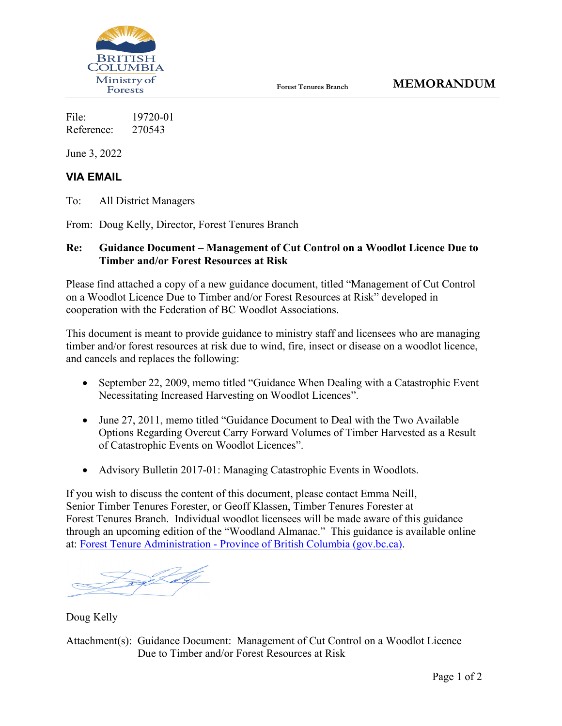

File: 19720-01 Reference: 270543

June 3, 2022

## **VIA EMAIL**

To: All District Managers

From: Doug Kelly, Director, Forest Tenures Branch

## **Re: Guidance Document – Management of Cut Control on a Woodlot Licence Due to Timber and/or Forest Resources at Risk**

Please find attached a copy of a new guidance document, titled "Management of Cut Control on a Woodlot Licence Due to Timber and/or Forest Resources at Risk" developed in cooperation with the Federation of BC Woodlot Associations.

This document is meant to provide guidance to ministry staff and licensees who are managing timber and/or forest resources at risk due to wind, fire, insect or disease on a woodlot licence, and cancels and replaces the following:

- September 22, 2009, memo titled "Guidance When Dealing with a Catastrophic Event Necessitating Increased Harvesting on Woodlot Licences".
- June 27, 2011, memo titled "Guidance Document to Deal with the Two Available Options Regarding Overcut Carry Forward Volumes of Timber Harvested as a Result of Catastrophic Events on Woodlot Licences".
- Advisory Bulletin 2017-01: Managing Catastrophic Events in Woodlots.

If you wish to discuss the content of this document, please contact Emma Neill, Senior Timber Tenures Forester, or Geoff Klassen, Timber Tenures Forester at Forest Tenures Branch. Individual woodlot licensees will be made aware of this guidance through an upcoming edition of the "Woodland Almanac." This guidance is available online at: Forest Tenure Administration - [Province of British Columbia \(gov.bc.ca\).](https://www2.gov.bc.ca/gov/content/industry/forestry/forest-tenures/forest-tenure-administration)

<u>The Congress of the Congress of the Congress of the Congress of the Congress of the Congress of the Congress o</u>

Doug Kelly

Attachment(s): Guidance Document: Management of Cut Control on a Woodlot Licence Due to Timber and/or Forest Resources at Risk